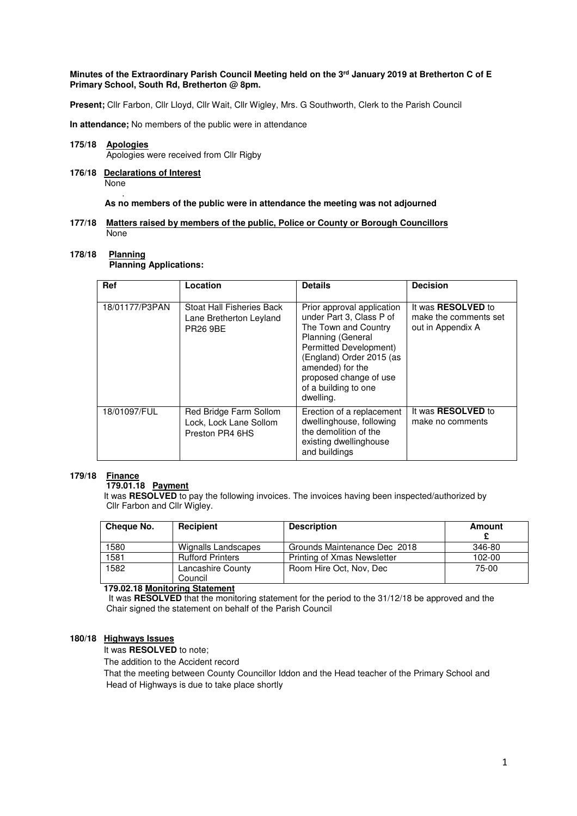### **Minutes of the Extraordinary Parish Council Meeting held on the 3rd January 2019 at Bretherton C of E Primary School, South Rd, Bretherton @ 8pm.**

**Present;** Cllr Farbon, Cllr Lloyd, Cllr Wait, Cllr Wigley, Mrs. G Southworth, Clerk to the Parish Council

**In attendance;** No members of the public were in attendance

#### **175/18 Apologies** Apologies were received from Cllr Rigby

**176/18 Declarations of Interest None** 

#### . **As no members of the public were in attendance the meeting was not adjourned**

#### **177/18 Matters raised by members of the public, Police or County or Borough Councillors**  None

#### **178/18 Planning**

 **Planning Applications:** 

| Ref            | Location                                                                       | <b>Details</b>                                                                                                                                                                                                                               | <b>Decision</b>                                                         |
|----------------|--------------------------------------------------------------------------------|----------------------------------------------------------------------------------------------------------------------------------------------------------------------------------------------------------------------------------------------|-------------------------------------------------------------------------|
| 18/01177/P3PAN | <b>Stoat Hall Fisheries Back</b><br>Lane Bretherton Leyland<br><b>PR26 9BE</b> | Prior approval application<br>under Part 3, Class P of<br>The Town and Country<br>Planning (General<br>Permitted Development)<br>(England) Order 2015 (as<br>amended) for the<br>proposed change of use<br>of a building to one<br>dwelling. | It was <b>RESOLVED</b> to<br>make the comments set<br>out in Appendix A |
| 18/01097/FUL   | Red Bridge Farm Sollom<br>Lock, Lock Lane Sollom<br>Preston PR4 6HS            | Erection of a replacement<br>dwellinghouse, following<br>the demolition of the<br>existing dwellinghouse<br>and buildings                                                                                                                    | It was <b>RESOLVED</b> to<br>make no comments                           |

#### **179/18 Finance**

# **179.01.18 Payment**

It was **RESOLVED** to pay the following invoices. The invoices having been inspected/authorized by Cllr Farbon and Cllr Wigley.

| Cheque No. | Recipient                    | <b>Description</b>           | Amount |
|------------|------------------------------|------------------------------|--------|
| 1580       | Wignalls Landscapes          | Grounds Maintenance Dec 2018 | 346-80 |
| 1581       | <b>Rufford Printers</b>      | Printing of Xmas Newsletter  | 102-00 |
| 1582       | Lancashire County<br>Council | Room Hire Oct, Nov, Dec      | 75-00  |

#### **179.02.18 Monitoring Statement**

It was **RESOLVED** that the monitoring statement for the period to the 31/12/18 be approved and the Chair signed the statement on behalf of the Parish Council

### **180/18 Highways Issues**

It was **RESOLVED** to note;

The addition to the Accident record

 That the meeting between County Councillor Iddon and the Head teacher of the Primary School and Head of Highways is due to take place shortly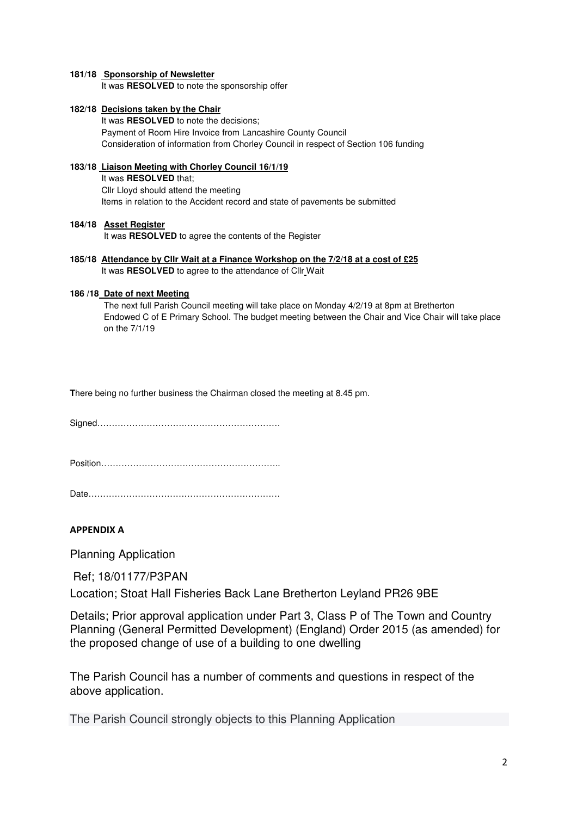## **181/18 Sponsorship of Newsletter**

It was **RESOLVED** to note the sponsorship offer

### **182/18 Decisions taken by the Chair**

 It was **RESOLVED** to note the decisions; Payment of Room Hire Invoice from Lancashire County Council Consideration of information from Chorley Council in respect of Section 106 funding

# **183/18 Liaison Meeting with Chorley Council 16/1/19**

 It was **RESOLVED** that; Cllr Lloyd should attend the meeting Items in relation to the Accident record and state of pavements be submitted

## **184/18 Asset Register**

It was **RESOLVED** to agree the contents of the Register

**185/18 Attendance by Cllr Wait at a Finance Workshop on the 7/2/18 at a cost of £25**  It was **RESOLVED** to agree to the attendance of Cllr Wait

### **186 /18 Date of next Meeting**

The next full Parish Council meeting will take place on Monday 4/2/19 at 8pm at Bretherton Endowed C of E Primary School. The budget meeting between the Chair and Vice Chair will take place on the 7/1/19

**T**here being no further business the Chairman closed the meeting at 8.45 pm.

Signed………………………………………………………

Position……………………………………………………..

Date…………………………………………………………

# **APPENDIX A**

Planning Application

Ref; 18/01177/P3PAN

Location; Stoat Hall Fisheries Back Lane Bretherton Leyland PR26 9BE

Details; Prior approval application under Part 3, Class P of The Town and Country Planning (General Permitted Development) (England) Order 2015 (as amended) for the proposed change of use of a building to one dwelling

The Parish Council has a number of comments and questions in respect of the above application.

The Parish Council strongly objects to this Planning Application